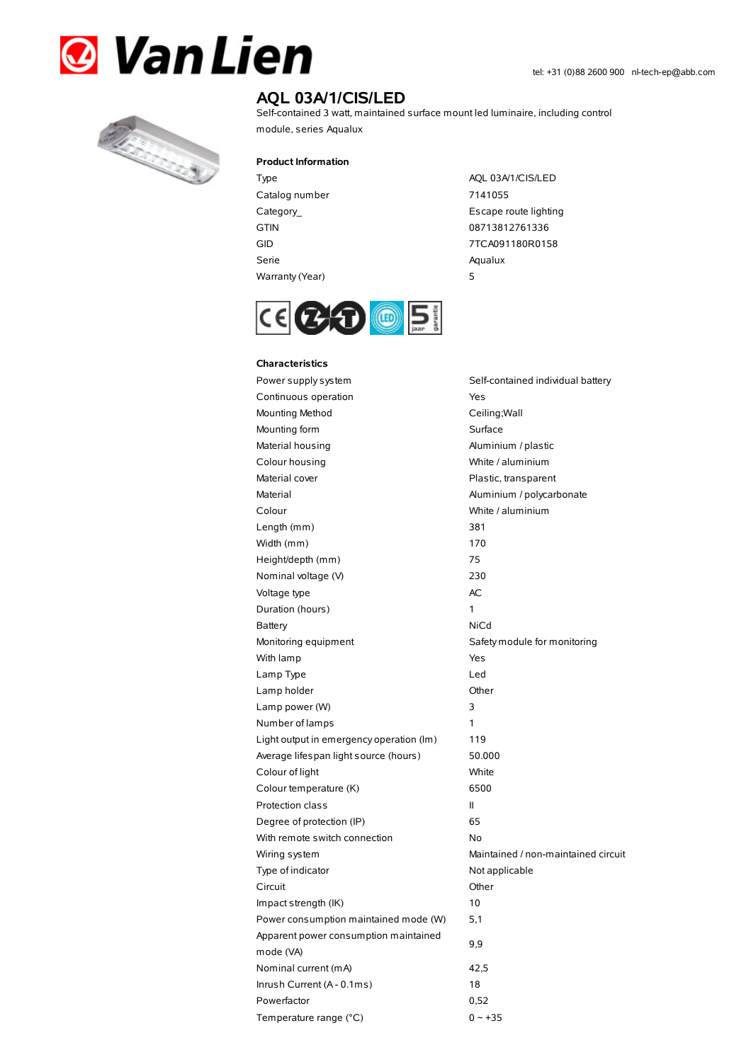



## **AQL 03A/1/CIS/LED**

Self-contained 3 watt, maintained surface mount led luminaire, including control module, series Aqualux

#### **Product Information**

| Type            | A  |
|-----------------|----|
| Catalog number  | 7. |
| Category_       | E: |
| GTIN            | 08 |
| GID             | 77 |
| Serie           | Aα |
| Warranty (Year) | 5  |

AQL 03A/1/CIS/LED 7141055 Escape route lighting 08713812761336 7TCA091180R0158 Aqualux



# **Characteristics**

Power supply system Self-contained individual battery Continuous operation The Continuous operation Mounting Method Ceiling; Wall Mounting form Surface Material housing **Aluminium / plastic** Colour housing White / aluminium Material cover **Plastic, transparent** Material Material Aluminium / polycarbonate Colour White / aluminium Length (mm) 381 Width (mm) 170 Height/depth (mm) 75 Nominal voltage (V) 230 Voltage type and a set of the AC Duration (hours) 1 Battery NiCd Monitoring equipment Safety module for monitoring With lamp **Yes** Lamp Type Led Lamp holder **Community** Chern Community Community Chern Chern Chern Chern Chern Chern Chern Chern Chern Chern Chern Chern Chern Chern Chern Chern Chern Chern Chern Chern Chern Chern Chern Chern Chern Chern Chern Chern Cher Lamp power (W) 3 Number of lamps 1 Light output in emergency operation (lm) 119 Average lifespan light source (hours) 50.000 Colour of light White Colour temperature (K) 6500 Protection class II Degree of protection (IP) 65 With remote switch connection No Wiring system **Maintained** / non-maintained circuit Type of indicator Not applicable Circuit Other Impact strength (IK) 10 Power consumption maintained mode (W) 5,1 Apparent power consumption maintained mode (VA) 9,9 Nominal current (mA) 42,5 Inrush Current (A - 0.1ms) 18 Powerfactor 0,52 Temperature range  $(^{\circ}C)$  0 ~ +35